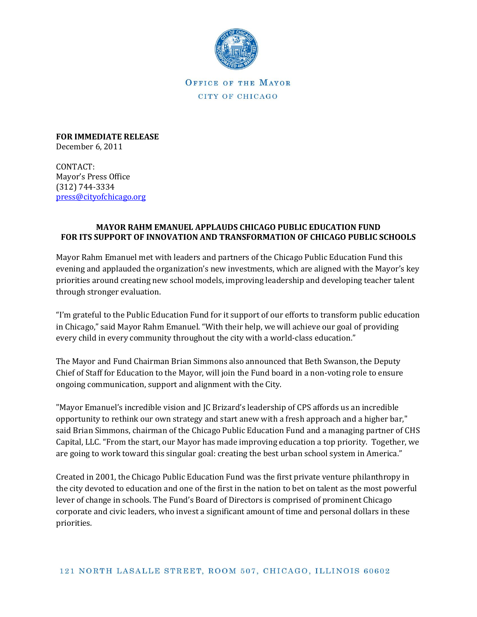

OFFICE OF THE MAYOR CITY OF CHICAGO

**FOR IMMEDIATE RELEASE** December 6, 2011

CONTACT: Mayor's Press Office (312) 744-3334 [press@cityofchicago.org](mailto:press@cityofchicago.org)

## **MAYOR RAHM EMANUEL APPLAUDS CHICAGO PUBLIC EDUCATION FUND FOR ITS SUPPORT OF INNOVATION AND TRANSFORMATION OF CHICAGO PUBLIC SCHOOLS**

Mayor Rahm Emanuel met with leaders and partners of the Chicago Public Education Fund this evening and applauded the organization's new investments, which are aligned with the Mayor's key priorities around creating new school models, improving leadership and developing teacher talent through stronger evaluation.

"I'm grateful to the Public Education Fund for it support of our efforts to transform public education in Chicago," said Mayor Rahm Emanuel. "With their help, we will achieve our goal of providing every child in every community throughout the city with a world-class education."

The Mayor and Fund Chairman Brian Simmons also announced that Beth Swanson, the Deputy Chief of Staff for Education to the Mayor, will join the Fund board in a non-voting role to ensure ongoing communication, support and alignment with the City.

"Mayor Emanuel's incredible vision and JC Brizard's leadership of CPS affords us an incredible opportunity to rethink our own strategy and start anew with a fresh approach and a higher bar," said Brian Simmons, chairman of the Chicago Public Education Fund and a managing partner of CHS Capital, LLC. "From the start, our Mayor has made improving education a top priority. Together, we are going to work toward this singular goal: creating the best urban school system in America."

Created in 2001, the Chicago Public Education Fund was the first private venture philanthropy in the city devoted to education and one of the first in the nation to bet on talent as the most powerful lever of change in schools. The Fund's Board of Directors is comprised of prominent Chicago corporate and civic leaders, who invest a significant amount of time and personal dollars in these priorities.